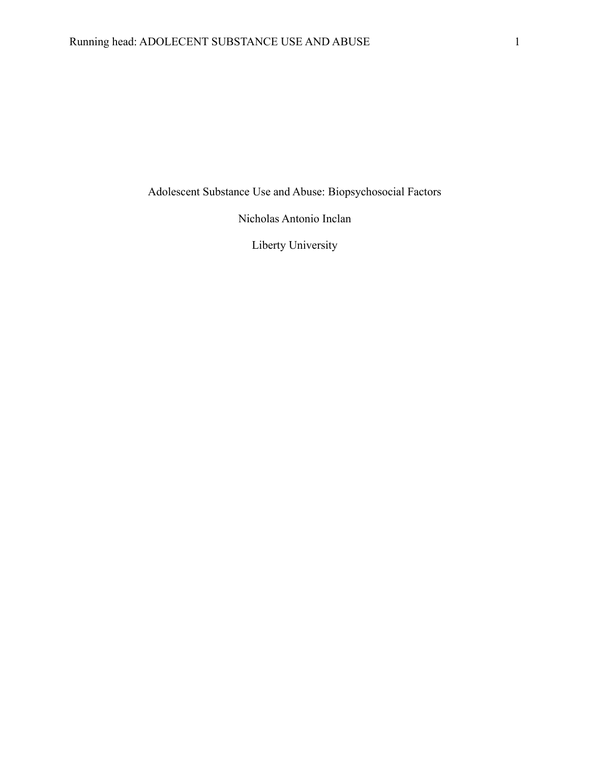Adolescent Substance Use and Abuse: Biopsychosocial Factors

Nicholas Antonio Inclan

Liberty University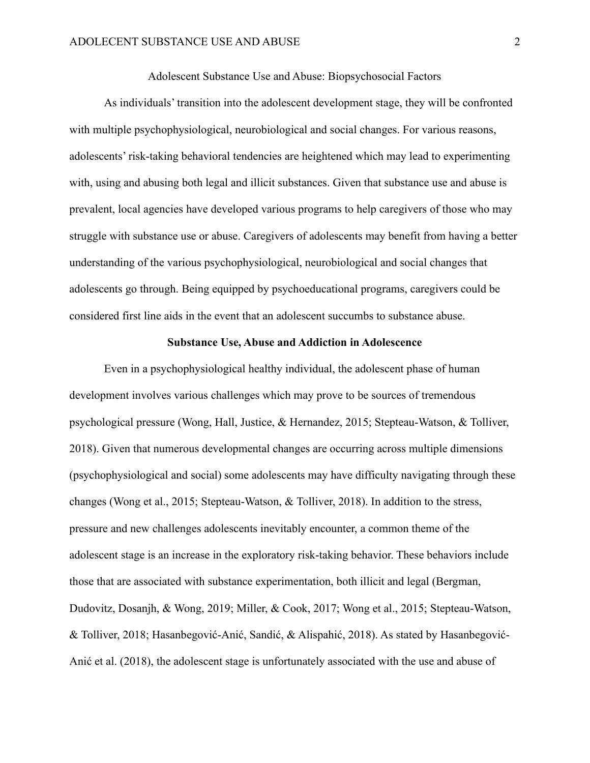Adolescent Substance Use and Abuse: Biopsychosocial Factors

As individuals' transition into the adolescent development stage, they will be confronted with multiple psychophysiological, neurobiological and social changes. For various reasons, adolescents' risk-taking behavioral tendencies are heightened which may lead to experimenting with, using and abusing both legal and illicit substances. Given that substance use and abuse is prevalent, local agencies have developed various programs to help caregivers of those who may struggle with substance use or abuse. Caregivers of adolescents may benefit from having a better understanding of the various psychophysiological, neurobiological and social changes that adolescents go through. Being equipped by psychoeducational programs, caregivers could be considered first line aids in the event that an adolescent succumbs to substance abuse.

## **Substance Use, Abuse and Addiction in Adolescence**

Even in a psychophysiological healthy individual, the adolescent phase of human development involves various challenges which may prove to be sources of tremendous psychological pressure (Wong, Hall, Justice, & Hernandez, 2015; Stepteau-Watson, & Tolliver, 2018). Given that numerous developmental changes are occurring across multiple dimensions (psychophysiological and social) some adolescents may have difficulty navigating through these changes (Wong et al., 2015; Stepteau-Watson, & Tolliver, 2018). In addition to the stress, pressure and new challenges adolescents inevitably encounter, a common theme of the adolescent stage is an increase in the exploratory risk-taking behavior. These behaviors include those that are associated with substance experimentation, both illicit and legal (Bergman, Dudovitz, Dosanjh, & Wong, 2019; Miller, & Cook, 2017; Wong et al., 2015; Stepteau-Watson, & Tolliver, 2018; Hasanbegović-Anić, Sandić, & Alispahić, 2018). As stated by Hasanbegović-Anić et al. (2018), the adolescent stage is unfortunately associated with the use and abuse of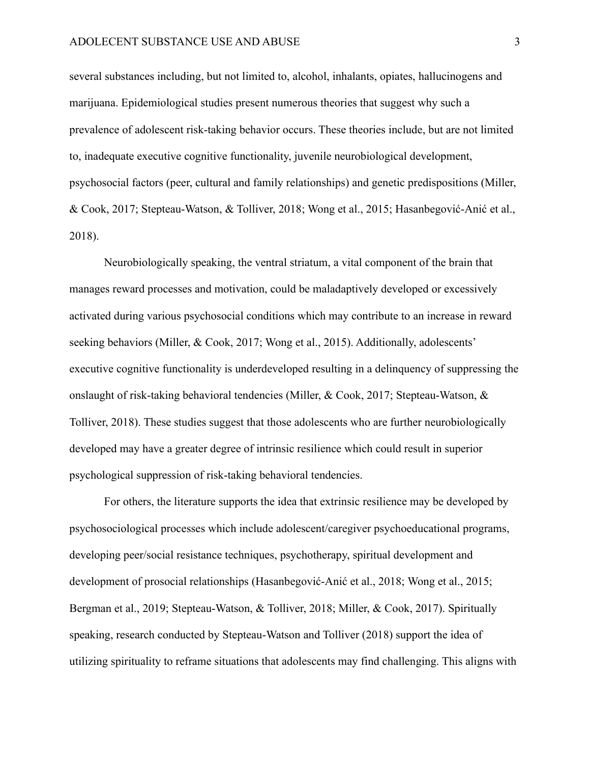several substances including, but not limited to, alcohol, inhalants, opiates, hallucinogens and marijuana. Epidemiological studies present numerous theories that suggest why such a prevalence of adolescent risk-taking behavior occurs. These theories include, but are not limited to, inadequate executive cognitive functionality, juvenile neurobiological development, psychosocial factors (peer, cultural and family relationships) and genetic predispositions (Miller, & Cook, 2017; Stepteau-Watson, & Tolliver, 2018; Wong et al., 2015; Hasanbegović-Anić et al., 2018).

Neurobiologically speaking, the ventral striatum, a vital component of the brain that manages reward processes and motivation, could be maladaptively developed or excessively activated during various psychosocial conditions which may contribute to an increase in reward seeking behaviors (Miller, & Cook, 2017; Wong et al., 2015). Additionally, adolescents' executive cognitive functionality is underdeveloped resulting in a delinquency of suppressing the onslaught of risk-taking behavioral tendencies (Miller, & Cook, 2017; Stepteau-Watson, & Tolliver, 2018). These studies suggest that those adolescents who are further neurobiologically developed may have a greater degree of intrinsic resilience which could result in superior psychological suppression of risk-taking behavioral tendencies.

For others, the literature supports the idea that extrinsic resilience may be developed by psychosociological processes which include adolescent/caregiver psychoeducational programs, developing peer/social resistance techniques, psychotherapy, spiritual development and development of prosocial relationships (Hasanbegović-Anić et al., 2018; Wong et al., 2015; Bergman et al., 2019; Stepteau-Watson, & Tolliver, 2018; Miller, & Cook, 2017). Spiritually speaking, research conducted by Stepteau-Watson and Tolliver (2018) support the idea of utilizing spirituality to reframe situations that adolescents may find challenging. This aligns with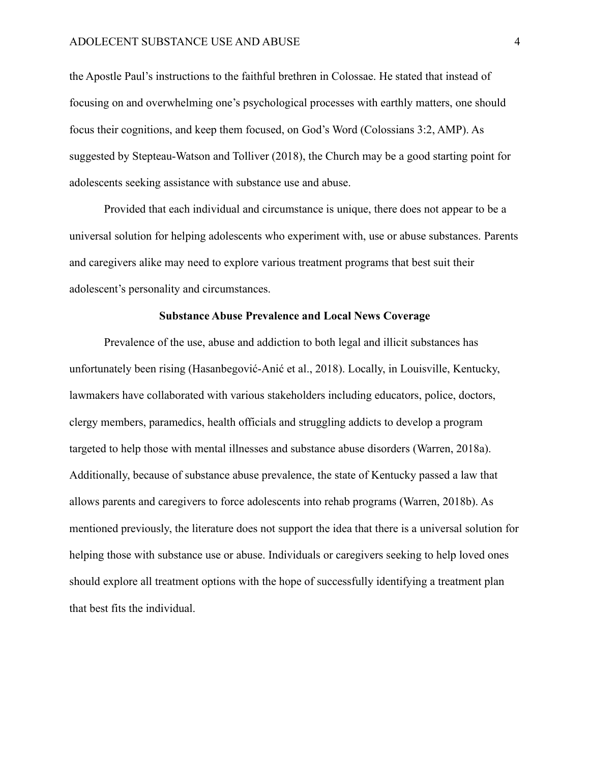the Apostle Paul's instructions to the faithful brethren in Colossae. He stated that instead of focusing on and overwhelming one's psychological processes with earthly matters, one should focus their cognitions, and keep them focused, on God's Word (Colossians 3:2, AMP). As suggested by Stepteau-Watson and Tolliver (2018), the Church may be a good starting point for adolescents seeking assistance with substance use and abuse.

Provided that each individual and circumstance is unique, there does not appear to be a universal solution for helping adolescents who experiment with, use or abuse substances. Parents and caregivers alike may need to explore various treatment programs that best suit their adolescent's personality and circumstances.

## **Substance Abuse Prevalence and Local News Coverage**

Prevalence of the use, abuse and addiction to both legal and illicit substances has unfortunately been rising (Hasanbegović-Anić et al., 2018). Locally, in Louisville, Kentucky, lawmakers have collaborated with various stakeholders including educators, police, doctors, clergy members, paramedics, health officials and struggling addicts to develop a program targeted to help those with mental illnesses and substance abuse disorders (Warren, 2018a). Additionally, because of substance abuse prevalence, the state of Kentucky passed a law that allows parents and caregivers to force adolescents into rehab programs (Warren, 2018b). As mentioned previously, the literature does not support the idea that there is a universal solution for helping those with substance use or abuse. Individuals or caregivers seeking to help loved ones should explore all treatment options with the hope of successfully identifying a treatment plan that best fits the individual.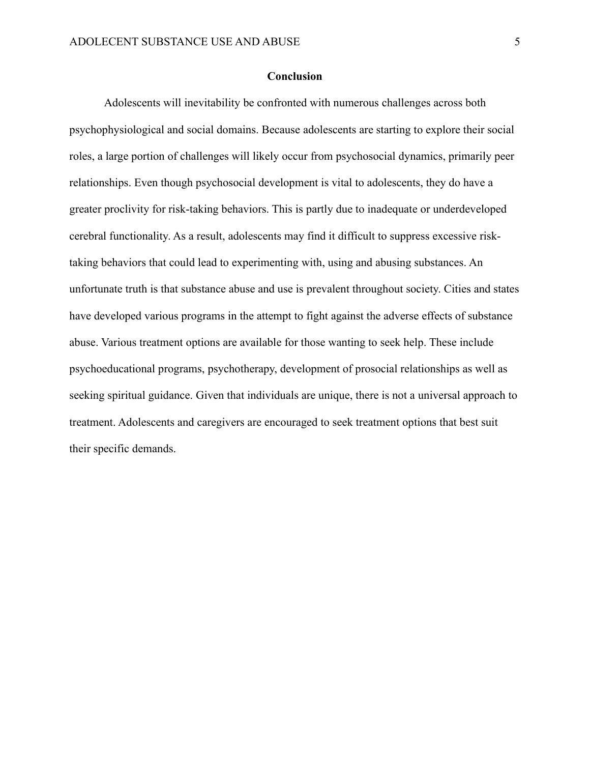## **Conclusion**

Adolescents will inevitability be confronted with numerous challenges across both psychophysiological and social domains. Because adolescents are starting to explore their social roles, a large portion of challenges will likely occur from psychosocial dynamics, primarily peer relationships. Even though psychosocial development is vital to adolescents, they do have a greater proclivity for risk-taking behaviors. This is partly due to inadequate or underdeveloped cerebral functionality. As a result, adolescents may find it difficult to suppress excessive risktaking behaviors that could lead to experimenting with, using and abusing substances. An unfortunate truth is that substance abuse and use is prevalent throughout society. Cities and states have developed various programs in the attempt to fight against the adverse effects of substance abuse. Various treatment options are available for those wanting to seek help. These include psychoeducational programs, psychotherapy, development of prosocial relationships as well as seeking spiritual guidance. Given that individuals are unique, there is not a universal approach to treatment. Adolescents and caregivers are encouraged to seek treatment options that best suit their specific demands.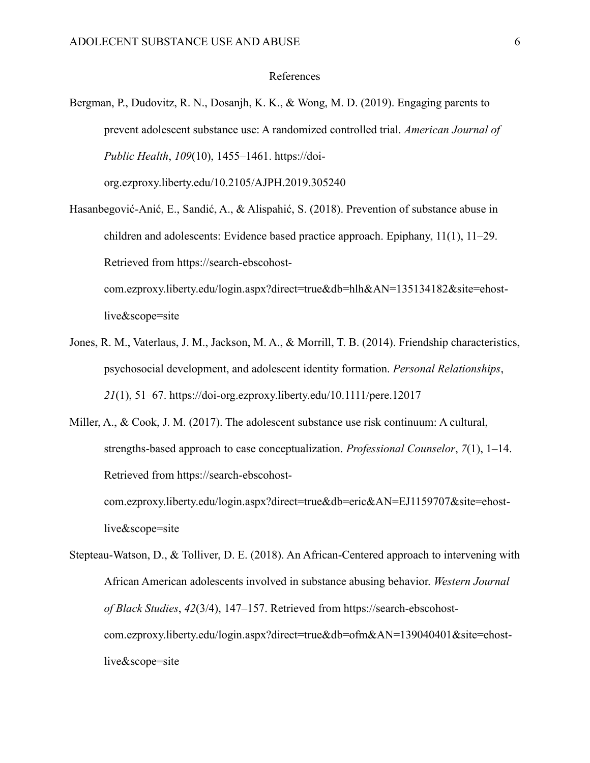## References

- Bergman, P., Dudovitz, R. N., Dosanjh, K. K., & Wong, M. D. (2019). Engaging parents to prevent adolescent substance use: A randomized controlled trial. *American Journal of Public Health*, *109*(10), 1455–1461. https://doiorg.ezproxy.liberty.edu/10.2105/AJPH.2019.305240
- Hasanbegović-Anić, E., Sandić, A., & Alispahić, S. (2018). Prevention of substance abuse in children and adolescents: Evidence based practice approach. Epiphany, 11(1), 11–29. Retrieved from https://search-ebscohostcom.ezproxy.liberty.edu/login.aspx?direct=true&db=hlh&AN=135134182&site=ehost-

live&scope=site

Jones, R. M., Vaterlaus, J. M., Jackson, M. A., & Morrill, T. B. (2014). Friendship characteristics, psychosocial development, and adolescent identity formation. *Personal Relationships*, *21*(1), 51–67. https://doi-org.ezproxy.liberty.edu/10.1111/pere.12017

Miller, A., & Cook, J. M. (2017). The adolescent substance use risk continuum: A cultural, strengths-based approach to case conceptualization. *Professional Counselor*, *7*(1), 1–14. Retrieved from https://search-ebscohostcom.ezproxy.liberty.edu/login.aspx?direct=true&db=eric&AN=EJ1159707&site=ehostlive&scope=site

Stepteau-Watson, D., & Tolliver, D. E. (2018). An African-Centered approach to intervening with African American adolescents involved in substance abusing behavior. *Western Journal of Black Studies*, *42*(3/4), 147–157. Retrieved from https://search-ebscohostcom.ezproxy.liberty.edu/login.aspx?direct=true&db=ofm&AN=139040401&site=ehostlive&scope=site